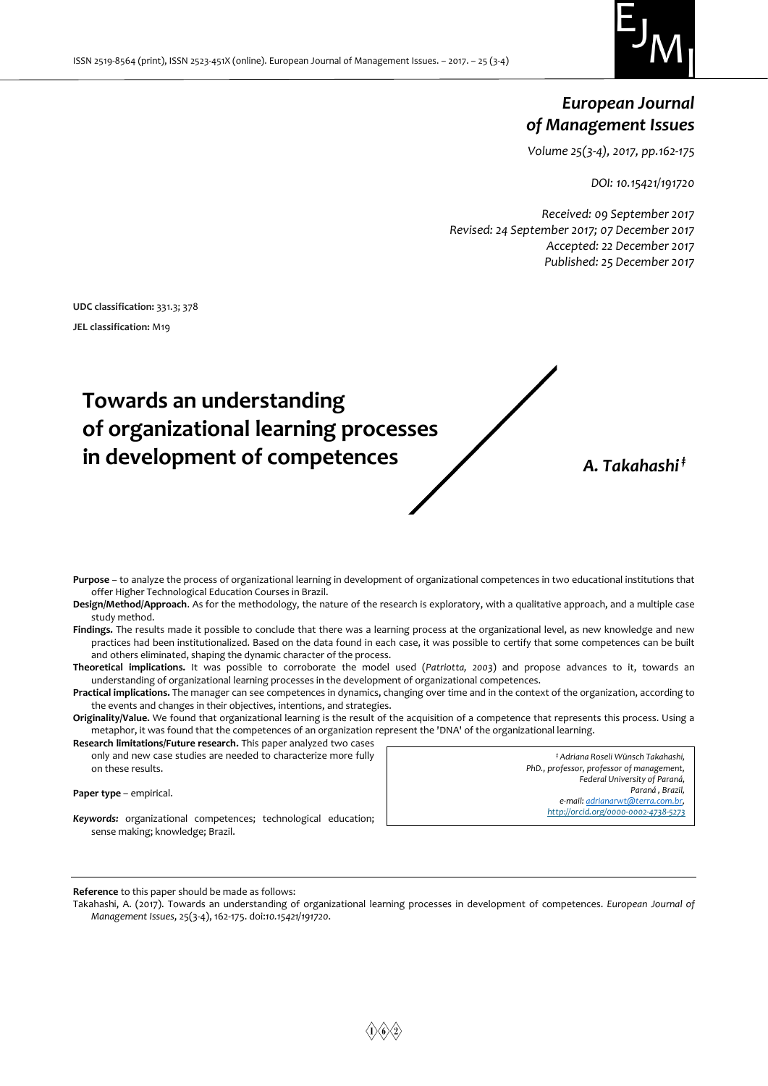

# *European Journal of Management Issues*

*Volume 25(3-4), 2017, pp.162-175*

*DOI: 10.15421/191720*

*Received: 09 September 2017 Revised: 24 September 2017; 07 December 2017 Accepted: 22 December 2017 Published: 25 December 2017*

**UDC classification:** 331.3; 378 **JEL classification:** M19

# **Towards an understanding of organizational learning processes in development of competences** *A. Takahashi ‡*

**Purpose** – to analyze the process of organizational learning in development of organizational competences in two educational institutions that offer Higher Technological Education Courses in Brazil.

**Design/Method/Approach**. As for the methodology, the nature of the research is exploratory, with a qualitative approach, and a multiple case study method.

**Findings.** The results made it possible to conclude that there was a learning process at the organizational level, as new knowledge and new practices had been institutionalized. Based on the data found in each case, it was possible to certify that some competences can be built and others eliminated, shaping the dynamic character of the process.

**Theoretical implications.** It was possible to corroborate the model used (*Patriotta, 2003*) and propose advances to it, towards an understanding of organizational learning processes in the development of organizational competences.

**Practical implications.** The manager can see competences in dynamics, changing over time and in the context of the organization, according to the events and changes in their objectives, intentions, and strategies.

**Originality/Value.** We found that organizational learning is the result of the acquisition of a competence that represents this process. Using a metaphor, it was found that the competences of an organization represent the 'DNA' of the organizational learning.

**Research limitations/Future research.** This paper analyzed two cases only and new case studies are needed to characterize more fully on these results.

**Paper type - empirical.** 

*‡ Adriana Roseli Wünsch Takahashi, PhD., professor, professor of management, Federal University of Paraná, Paraná , Brazil, e-mail[: adrianarwt@terra.com.br,](mailto:adrianarwt@terra.com.br) <http://orcid.org/0000-0002-4738-5273>*

*Keywords:* organizational competences; technological education; sense making; knowledge; Brazil.

**Reference** to this paper should be made as follows:

Takahashi, A. (2017). Towards an understanding of organizational learning processes in development of competences. *European Journal of Management Issues*, 25(3-4), 162-175. doi:*10.15421/191720*.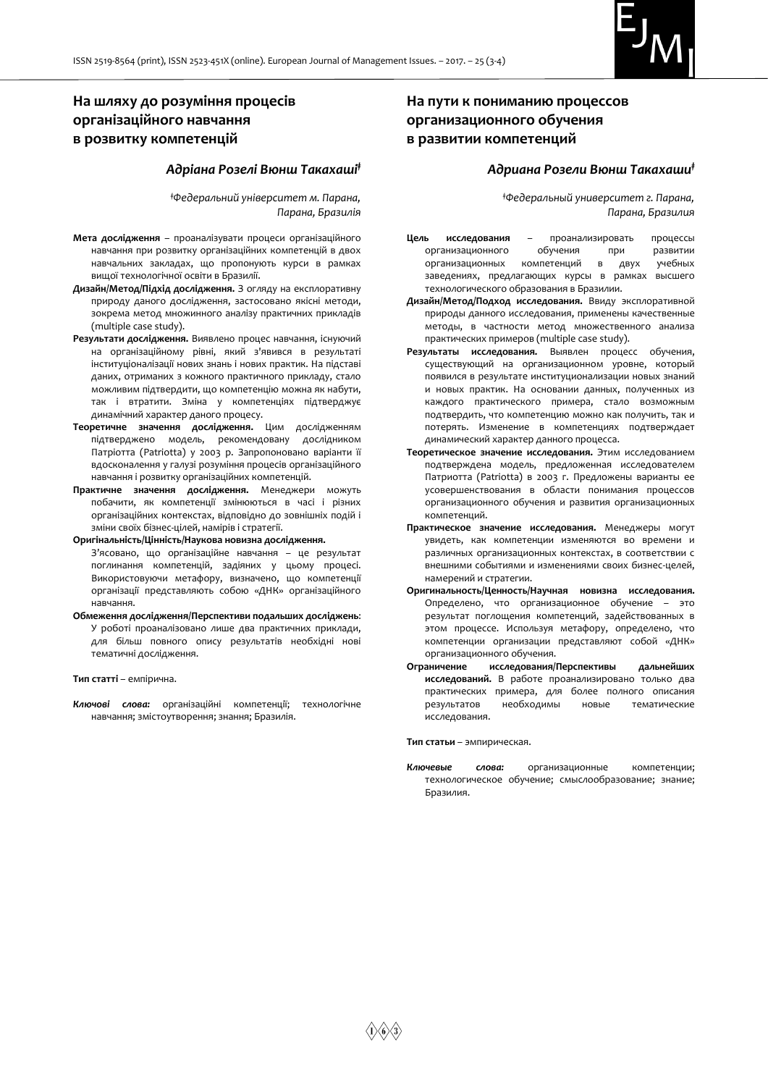

# **На шляху до розуміння процесів організаційного навчання в розвитку компетенцій**

#### *Адріана Розелі Вюнш Такахаші‡*

*‡Федеральний університет м. Парана, Парана, Бразилія*

- **Мета дослідження** проаналізувати процеси організаційного навчання при розвитку організаційних компетенцій в двох навчальних закладах, що пропонують курси в рамках вищої технологічної освіти в Бразилії.
- **Дизайн/Метод/Підхід дослідження.** З огляду на експлоративну природу даного дослідження, застосовано якісні методи, зокрема метод множинного аналізу практичних прикладів (multiple case study).
- **Результати дослідження.** Виявлено процес навчання, існуючий на організаційному рівні, який з'явився в результаті інституціоналізації нових знань і нових практик. На підставі даних, отриманих з кожного практичного прикладу, стало можливим підтвердити, що компетенцію можна як набути, так і втратити. Зміна у компетенціях підтверджує динамічний характер даного процесу.
- **Теоретичне значення дослідження.** Цим дослідженням підтверджено модель, рекомендовану дослідником Патріотта (Patriotta) у 2003 р. Запропоновано варіанти її вдосконалення у галузі розуміння процесів організаційного навчання і розвитку організаційних компетенцій.
- **Практичне значення дослідження.** Менеджери можуть побачити, як компетенції змінюються в часі і різних організаційних контекстах, відповідно до зовнішніх подій і зміни своїх бізнес-цілей, намірів і стратегії.
- **Оригінальність/Цінність/Наукова новизна дослідження.** З'ясовано, що організаційне навчання – це результат поглинання компетенцій, задіяних у цьому процесі. Використовуючи метафору, визначено, що компетенції організації представляють собою «ДНК» організаційного навчання.
- **Обмеження дослідження/Перспективи подальших досліджень**: У роботі проаналізовано лише два практичних приклади, для більш повного опису результатів необхідні нові тематичні дослідження.

**Тип статті** – емпірична.

*Ключові слова:* організаційні компетенції; технологічне навчання; змістоутворення; знання; Бразилія.

# **На пути к пониманию процессов организационного обучения в развитии компетенций**

## *Адриана Розели Вюнш Такахаши‡*

*‡Федеральный университет г. Парана, Парана, Бразилия*

- **Цель исследования** проанализировать процессы организационного обучения при развитии организационных компетенций в двух учебных заведениях, предлагающих курсы в рамках высшего технологического образования в Бразилии.
- **Дизайн/Метод/Подход исследования.** Ввиду эксплоративной природы данного исследования, применены качественные методы, в частности метод множественного анализа практических примеров (multiple case study).
- **Результаты исследования.** Выявлен процесс обучения, существующий на организационном уровне, который появился в результате институционализации новых знаний и новых практик. На основании данных, полученных из каждого практического примера, стало возможным подтвердить, что компетенцию можно как получить, так и потерять. Изменение в компетенциях подтверждает динамический характер данного процесса.
- **Теоретическое значение исследования.** Этим исследованием подтверждена модель, предложенная исследователем Патриотта (Patriotta) в 2003 г. Предложены варианты ее усовершенствования в области понимания процессов организационного обучения и развития организационных компетенций.
- **Практическое значение исследования.** Менеджеры могут увидеть, как компетенции изменяются во времени и различных организационных контекстах, в соответствии с внешними событиями и изменениями своих бизнес-целей, намерений и стратегии.
- **Оригинальность/Ценность/Научная новизна исследования.**  Определено, что организационное обучение – это результат поглощения компетенций, задействованных в этом процессе. Используя метафору, определено, что компетенции организации представляют собой «ДНК» организационного обучения.
- **Ограничение исследования/Перспективы дальнейших исследований.** В работе проанализировано только два практических примера, для более полного описания результатов необходимы новые тематические исследования.

**Тип статьи** – эмпирическая.

*Ключевые слова:* организационные компетенции; технологическое обучение; смыслообразование; знание; Бразилия.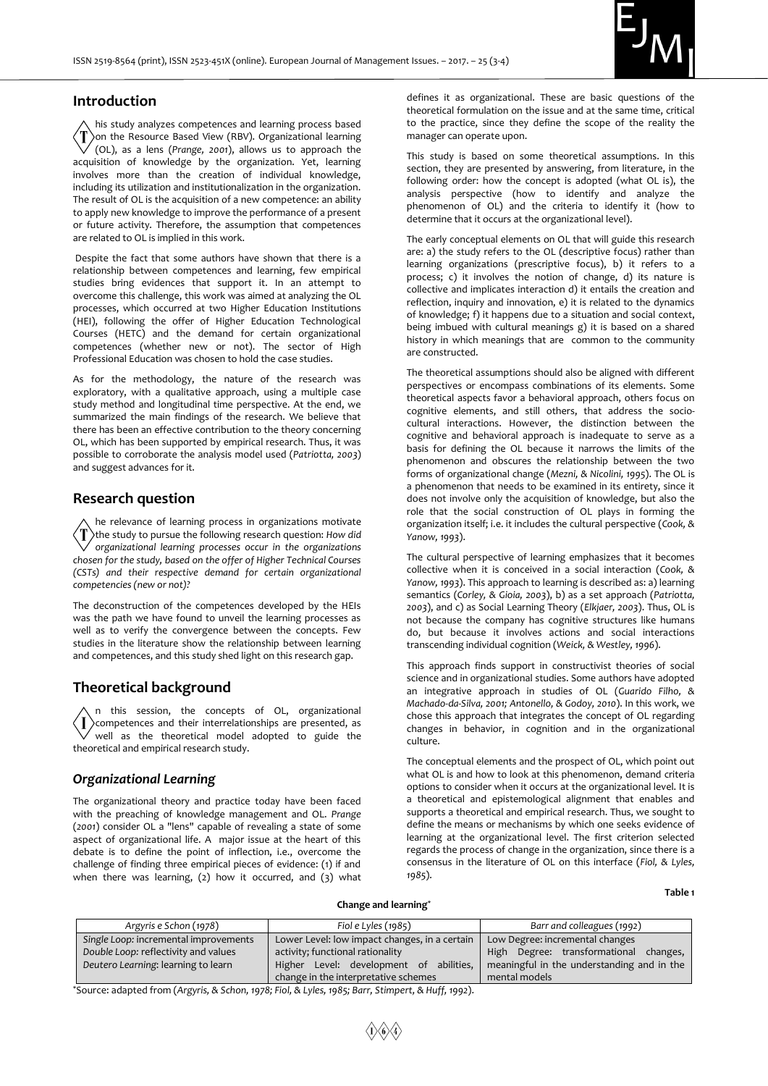

# **Introduction**

his study analyzes competences and learning process based on the Resource Based View (RBV). Organizational learning (OL), as a lens (*Prange, 2001*), allows us to approach the acquisition of knowledge by the organization. Yet, learning involves more than the creation of individual knowledge, including its utilization and institutionalization in the organization. The result of OL is the acquisition of a new competence: an ability to apply new knowledge to improve the performance of a present or future activity. Therefore, the assumption that competences are related to OL is implied in this work.

Despite the fact that some authors have shown that there is a relationship between competences and learning, few empirical studies bring evidences that support it. In an attempt to overcome this challenge, this work was aimed at analyzing the OL processes, which occurred at two Higher Education Institutions (HEI), following the offer of Higher Education Technological Courses (HETC) and the demand for certain organizational competences (whether new or not). The sector of High Professional Education was chosen to hold the case studies.

As for the methodology, the nature of the research was exploratory, with a qualitative approach, using a multiple case study method and longitudinal time perspective. At the end, we summarized the main findings of the research. We believe that there has been an effective contribution to the theory concerning OL, which has been supported by empirical research. Thus, it was possible to corroborate the analysis model used (*Patriotta, 2003*) and suggest advances for it.

## **Research question**

he relevance of learning process in organizations motivate the study to pursue the following research question: *How did organizational learning processes occur in the organizations chosen for the study, based on the offer of Higher Technical Courses (CSTs) and their respective demand for certain organizational competencies (new or not)?*

The deconstruction of the competences developed by the HEIs was the path we have found to unveil the learning processes as well as to verify the convergence between the concepts. Few studies in the literature show the relationship between learning and competences, and this study shed light on this research gap.

# **Theoretical background**

n this session, the concepts of OL, organizational competences and their interrelationships are presented, as well as the theoretical model adopted to guide the theoretical and empirical research study.

#### *Organizational Learning*

The organizational theory and practice today have been faced with the preaching of knowledge management and OL. *Prange*  (*2001*) consider OL a "lens" capable of revealing a state of some aspect of organizational life. A major issue at the heart of this debate is to define the point of inflection, i.e., overcome the challenge of finding three empirical pieces of evidence: (1) if and when there was learning, (2) how it occurred, and (3) what

defines it as organizational. These are basic questions of the theoretical formulation on the issue and at the same time, critical to the practice, since they define the scope of the reality the manager can operate upon.

This study is based on some theoretical assumptions. In this section, they are presented by answering, from literature, in the following order: how the concept is adopted (what OL is), the analysis perspective (how to identify and analyze the phenomenon of OL) and the criteria to identify it (how to determine that it occurs at the organizational level).

The early conceptual elements on OL that will guide this research are: a) the study refers to the OL (descriptive focus) rather than learning organizations (prescriptive focus), b) it refers to a process; c) it involves the notion of change, d) its nature is collective and implicates interaction d) it entails the creation and reflection, inquiry and innovation, e) it is related to the dynamics of knowledge; f) it happens due to a situation and social context, being imbued with cultural meanings g) it is based on a shared history in which meanings that are common to the community are constructed.

The theoretical assumptions should also be aligned with different perspectives or encompass combinations of its elements. Some theoretical aspects favor a behavioral approach, others focus on cognitive elements, and still others, that address the sociocultural interactions. However, the distinction between the cognitive and behavioral approach is inadequate to serve as a basis for defining the OL because it narrows the limits of the phenomenon and obscures the relationship between the two forms of organizational change (*Mezni, & Nicolini, 1995*). The OL is a phenomenon that needs to be examined in its entirety, since it does not involve only the acquisition of knowledge, but also the role that the social construction of OL plays in forming the organization itself; i.e. it includes the cultural perspective (*Cook, & Yanow, 1993*).

The cultural perspective of learning emphasizes that it becomes collective when it is conceived in a social interaction (*Cook, & Yanow, 1993*). This approach to learning is described as: a) learning semantics (*Corley, & Gioia, 2003*), b) as a set approach (*Patriotta, 2003*), and c) as Social Learning Theory (*Elkjaer, 2003*). Thus, OL is not because the company has cognitive structures like humans do, but because it involves actions and social interactions transcending individual cognition (*Weick, & Westley, 1996*).

This approach finds support in constructivist theories of social science and in organizational studies. Some authors have adopted an integrative approach in studies of OL (*Guarido Filho, & Machado-da-Silva, 2001; Antonello, & Godoy, 2010*). In this work, we chose this approach that integrates the concept of OL regarding changes in behavior, in cognition and in the organizational culture.

The conceptual elements and the prospect of OL, which point out what OL is and how to look at this phenomenon, demand criteria options to consider when it occurs at the organizational level. It is a theoretical and epistemological alignment that enables and supports a theoretical and empirical research. Thus, we sought to define the means or mechanisms by which one seeks evidence of learning at the organizational level. The first criterion selected regards the process of change in the organization, since there is a consensus in the literature of OL on this interface (*Fiol, & Lyles, 1985*).

**Table 1** 

#### **Change and learning\***

| Argyris e Schon (1978)                | Fiol e Lyles $(1985)$                         | Barr and colleagues (1992)                 |  |  |
|---------------------------------------|-----------------------------------------------|--------------------------------------------|--|--|
| Single Loop: incremental improvements | Lower Level: low impact changes, in a certain | Low Degree: incremental changes            |  |  |
| Double Loop: reflectivity and values  | activity; functional rationality              | Degree: transformational changes,<br>High  |  |  |
| Deutero Learning: learning to learn   | Higher Level: development of<br>abilities.    | meaningful in the understanding and in the |  |  |
|                                       | change in the interpretative schemes          | mental models                              |  |  |

\*Source: adapted from (*Argyris, & Schon, 1978; Fiol, & Lyles, 1985; Barr, Stimpert, & Huff, 1992*).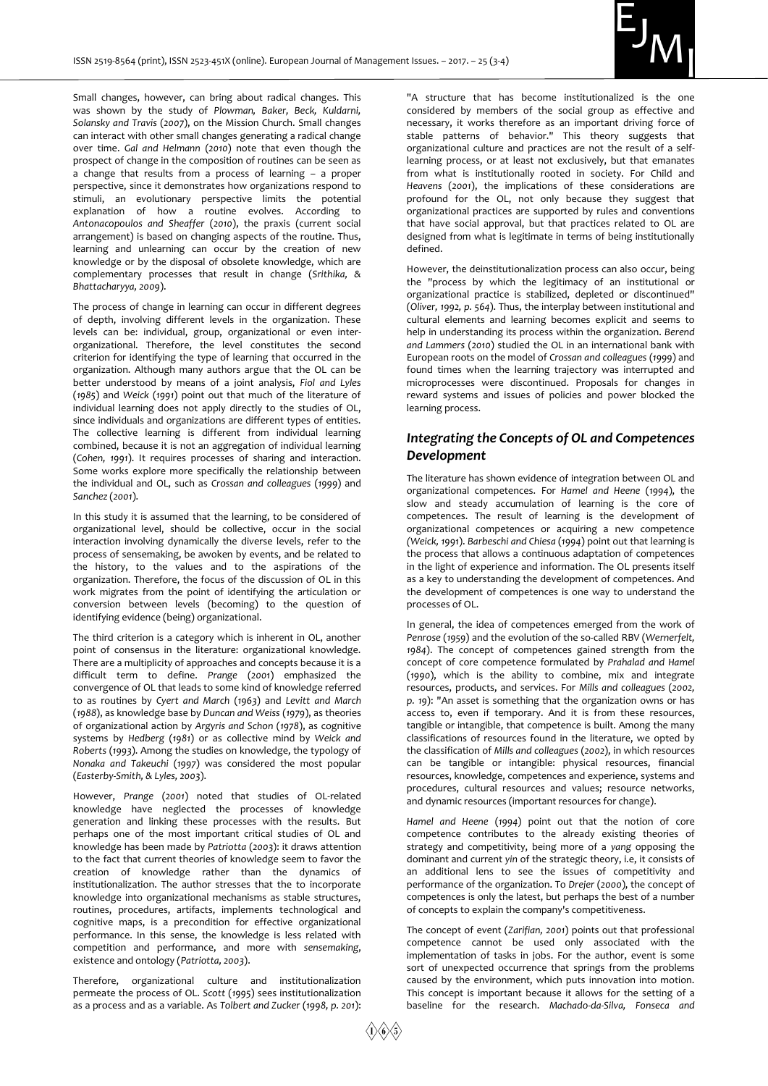

Small changes, however, can bring about radical changes. This was shown by the study of *Plowman, Baker, Beck, Kuldarni, Solansky and Travis* (*2007*), on the Mission Church. Small changes can interact with other small changes generating a radical change over time. *Gal and Helmann* (*2010*) note that even though the prospect of change in the composition of routines can be seen as a change that results from a process of learning – a proper perspective, since it demonstrates how organizations respond to stimuli, an evolutionary perspective limits the potential explanation of how a routine evolves. According to *Antonacopoulos and Sheaffer* (*2010*), the praxis (current social arrangement) is based on changing aspects of the routine. Thus, learning and unlearning can occur by the creation of new knowledge or by the disposal of obsolete knowledge, which are complementary processes that result in change (*Srithika, & Bhattacharyya, 2009*).

The process of change in learning can occur in different degrees of depth, involving different levels in the organization. These levels can be: individual, group, organizational or even interorganizational. Therefore, the level constitutes the second criterion for identifying the type of learning that occurred in the organization. Although many authors argue that the OL can be better understood by means of a joint analysis, *Fiol and Lyles* (*1985*) and *Weick* (*1991*) point out that much of the literature of individual learning does not apply directly to the studies of OL, since individuals and organizations are different types of entities. The collective learning is different from individual learning combined, because it is not an aggregation of individual learning (*Cohen, 1991*). It requires processes of sharing and interaction. Some works explore more specifically the relationship between the individual and OL, such as *Crossan and colleagues* (*1999*) and *Sanchez* (*2001*).

In this study it is assumed that the learning, to be considered of organizational level, should be collective, occur in the social interaction involving dynamically the diverse levels, refer to the process of sensemaking, be awoken by events, and be related to the history, to the values and to the aspirations of the organization. Therefore, the focus of the discussion of OL in this work migrates from the point of identifying the articulation or conversion between levels (becoming) to the question of identifying evidence (being) organizational.

The third criterion is a category which is inherent in OL, another point of consensus in the literature: organizational knowledge. There are a multiplicity of approaches and concepts because it is a difficult term to define. *Prange* (*2001*) emphasized the convergence of OL that leads to some kind of knowledge referred to as routines by *Cyert and March* (*1963*) and *Levitt and March* (*1988*), as knowledge base by *Duncan and Weiss* (*1979*), as theories of organizational action by *Argyris and Schon* (*1978*), as cognitive systems by *Hedberg* (*1981*) or as collective mind by *Weick and Roberts* (*1993*). Among the studies on knowledge, the typology of *Nonaka and Takeuchi* (*1997*) was considered the most popular (*Easterby-Smith, & Lyles, 2003*).

However, *Prange* (*2001*) noted that studies of OL-related knowledge have neglected the processes of knowledge generation and linking these processes with the results. But perhaps one of the most important critical studies of OL and knowledge has been made by *Patriotta* (*2003*): it draws attention to the fact that current theories of knowledge seem to favor the creation of knowledge rather than the dynamics of institutionalization. The author stresses that the to incorporate knowledge into organizational mechanisms as stable structures, routines, procedures, artifacts, implements technological and cognitive maps, is a precondition for effective organizational performance. In this sense, the knowledge is less related with competition and performance, and more with *sensemaking*, existence and ontology (*Patriotta, 2003*).

Therefore, organizational culture and institutionalization permeate the process of OL. *Scott* (*1995*) sees institutionalization as a process and as a variable. As *Tolbert and Zucker* (*1998, p. 201*):

"A structure that has become institutionalized is the one considered by members of the social group as effective and necessary, it works therefore as an important driving force of stable patterns of behavior." This theory suggests that organizational culture and practices are not the result of a selflearning process, or at least not exclusively, but that emanates from what is institutionally rooted in society. For Child and *Heavens* (*2001*), the implications of these considerations are profound for the OL, not only because they suggest that organizational practices are supported by rules and conventions that have social approval, but that practices related to OL are designed from what is legitimate in terms of being institutionally defined.

However, the deinstitutionalization process can also occur, being the "process by which the legitimacy of an institutional or organizational practice is stabilized, depleted or discontinued" (*Oliver, 1992, p. 564*). Thus, the interplay between institutional and cultural elements and learning becomes explicit and seems to help in understanding its process within the organization. *Berend and Lammers* (*2010*) studied the OL in an international bank with European roots on the model of *Crossan and colleagues* (*1999*) and found times when the learning trajectory was interrupted and microprocesses were discontinued. Proposals for changes in reward systems and issues of policies and power blocked the learning process.

# *Integrating the Concepts of OL and Competences Development*

The literature has shown evidence of integration between OL and organizational competences. For *Hamel and Heene* (*1994*), the slow and steady accumulation of learning is the core of competences. The result of learning is the development of organizational competences or acquiring a new competence *(Weick, 1991*). *Barbeschi and Chiesa* (*1994*) point out that learning is the process that allows a continuous adaptation of competences in the light of experience and information. The OL presents itself as a key to understanding the development of competences. And the development of competences is one way to understand the processes of OL.

In general, the idea of competences emerged from the work of *Penrose* (*1959*) and the evolution of the so-called RBV (*Wernerfelt, 1984*). The concept of competences gained strength from the concept of core competence formulated by *Prahalad and Hamel*  (*1990*), which is the ability to combine, mix and integrate resources, products, and services. For *Mills and colleagues* (*2002, p. 19*): "An asset is something that the organization owns or has access to, even if temporary. And it is from these resources, tangible or intangible, that competence is built. Among the many classifications of resources found in the literature, we opted by the classification of *Mills and colleagues* (*2002*), in which resources can be tangible or intangible: physical resources, financial resources, knowledge, competences and experience, systems and procedures, cultural resources and values; resource networks, and dynamic resources (important resources for change).

*Hamel and Heene* (*1994*) point out that the notion of core competence contributes to the already existing theories of strategy and competitivity, being more of a *yang* opposing the dominant and current *yin* of the strategic theory, i.e, it consists of an additional lens to see the issues of competitivity and performance of the organization. To *Drejer* (*2000*), the concept of competences is only the latest, but perhaps the best of a number of concepts to explain the company's competitiveness.

The concept of event (*Zarifian, 2001*) points out that professional competence cannot be used only associated with the implementation of tasks in jobs. For the author, event is some sort of unexpected occurrence that springs from the problems caused by the environment, which puts innovation into motion. This concept is important because it allows for the setting of a baseline for the research. *Machado-da-Silva, Fonseca and*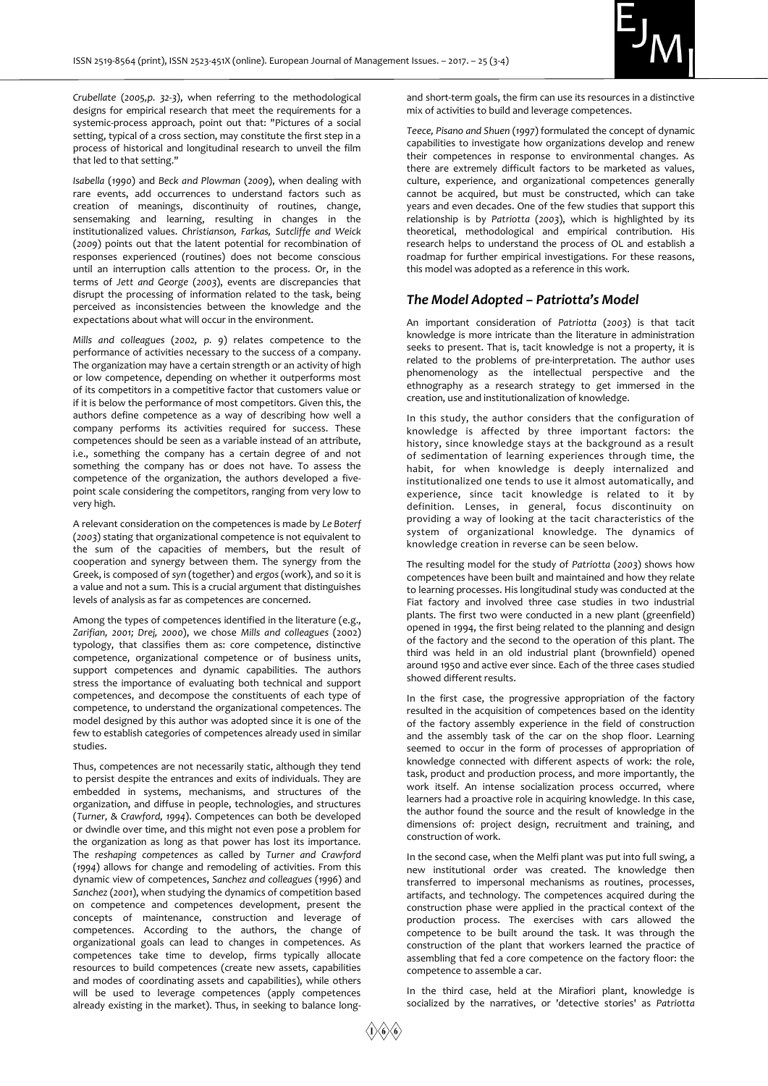

*Crubellate* (*2005,p. 32-3*), when referring to the methodological designs for empirical research that meet the requirements for a systemic-process approach, point out that: "Pictures of a social setting, typical of a cross section, may constitute the first step in a process of historical and longitudinal research to unveil the film that led to that setting."

*Isabella* (*1990*) and *Beck and Plowman* (*2009*), when dealing with rare events, add occurrences to understand factors such as creation of meanings, discontinuity of routines, change, sensemaking and learning, resulting in changes in the institutionalized values. *Christianson, Farkas, Sutcliffe and Weick* (*2009*) points out that the latent potential for recombination of responses experienced (routines) does not become conscious until an interruption calls attention to the process. Or, in the terms of *Jett and George* (*2003*), events are discrepancies that disrupt the processing of information related to the task, being perceived as inconsistencies between the knowledge and the expectations about what will occur in the environment.

*Mills and colleagues* (*2002, p. 9*) relates competence to the performance of activities necessary to the success of a company. The organization may have a certain strength or an activity of high or low competence, depending on whether it outperforms most of its competitors in a competitive factor that customers value or if it is below the performance of most competitors. Given this, the authors define competence as a way of describing how well a company performs its activities required for success. These competences should be seen as a variable instead of an attribute, i.e., something the company has a certain degree of and not something the company has or does not have. To assess the competence of the organization, the authors developed a fivepoint scale considering the competitors, ranging from very low to very high.

A relevant consideration on the competences is made by *Le Boterf*  (*2003*) stating that organizational competence is not equivalent to the sum of the capacities of members, but the result of cooperation and synergy between them. The synergy from the Greek, is composed of *syn* (together) and *ergos* (work), and so it is a value and not a sum. This is a crucial argument that distinguishes levels of analysis as far as competences are concerned.

Among the types of competences identified in the literature (e.g., *Zarifian, 2001; Drej, 2000*), we chose *Mills and colleagues* (2002) typology, that classifies them as: core competence, distinctive competence, organizational competence or of business units, support competences and dynamic capabilities. The authors stress the importance of evaluating both technical and support competences, and decompose the constituents of each type of competence, to understand the organizational competences. The model designed by this author was adopted since it is one of the few to establish categories of competences already used in similar studies.

Thus, competences are not necessarily static, although they tend to persist despite the entrances and exits of individuals. They are embedded in systems, mechanisms, and structures of the organization, and diffuse in people, technologies, and structures (*Turner, & Crawford, 1994*). Competences can both be developed or dwindle over time, and this might not even pose a problem for the organization as long as that power has lost its importance. The *reshaping competences* as called by *Turner and Crawford* (*1994*) allows for change and remodeling of activities. From this dynamic view of competences, *Sanchez and colleagues* (*1996*) and *Sanchez* (*2001*), when studying the dynamics of competition based on competence and competences development, present the concepts of maintenance, construction and leverage of competences. According to the authors, the change of organizational goals can lead to changes in competences. As competences take time to develop, firms typically allocate resources to build competences (create new assets, capabilities and modes of coordinating assets and capabilities), while others will be used to leverage competences (apply competences already existing in the market). Thus, in seeking to balance longand short-term goals, the firm can use its resources in a distinctive mix of activities to build and leverage competences.

*Teece, Pisano and Shuen* (*1997*) formulated the concept of dynamic capabilities to investigate how organizations develop and renew their competences in response to environmental changes. As there are extremely difficult factors to be marketed as values, culture, experience, and organizational competences generally cannot be acquired, but must be constructed, which can take years and even decades. One of the few studies that support this relationship is by *Patriotta* (*2003*), which is highlighted by its theoretical, methodological and empirical contribution. His research helps to understand the process of OL and establish a roadmap for further empirical investigations. For these reasons, this model was adopted as a reference in this work.

#### *The Model Adopted – Patriotta's Model*

An important consideration of *Patriotta* (*2003*) is that tacit knowledge is more intricate than the literature in administration seeks to present. That is, tacit knowledge is not a property, it is related to the problems of pre-interpretation. The author uses phenomenology as the intellectual perspective and the ethnography as a research strategy to get immersed in the creation, use and institutionalization of knowledge.

In this study, the author considers that the configuration of knowledge is affected by three important factors: the history, since knowledge stays at the background as a result of sedimentation of learning experiences through time, the habit, for when knowledge is deeply internalized and institutionalized one tends to use it almost automatically, and experience, since tacit knowledge is related to it by definition. Lenses, in general, focus discontinuity on providing a way of looking at the tacit characteristics of the system of organizational knowledge. The dynamics of knowledge creation in reverse can be seen below.

The resulting model for the study of *Patriotta* (*2003*) shows how competences have been built and maintained and how they relate to learning processes. His longitudinal study was conducted at the Fiat factory and involved three case studies in two industrial plants. The first two were conducted in a new plant (greenfield) opened in 1994, the first being related to the planning and design of the factory and the second to the operation of this plant. The third was held in an old industrial plant (brownfield) opened around 1950 and active ever since. Each of the three cases studied showed different results.

In the first case, the progressive appropriation of the factory resulted in the acquisition of competences based on the identity of the factory assembly experience in the field of construction and the assembly task of the car on the shop floor. Learning seemed to occur in the form of processes of appropriation of knowledge connected with different aspects of work: the role, task, product and production process, and more importantly, the work itself. An intense socialization process occurred, where learners had a proactive role in acquiring knowledge. In this case, the author found the source and the result of knowledge in the dimensions of: project design, recruitment and training, and construction of work.

In the second case, when the Melfi plant was put into full swing, a new institutional order was created. The knowledge then transferred to impersonal mechanisms as routines, processes, artifacts, and technology. The competences acquired during the construction phase were applied in the practical context of the production process. The exercises with cars allowed the competence to be built around the task. It was through the construction of the plant that workers learned the practice of assembling that fed a core competence on the factory floor: the competence to assemble a car.

In the third case, held at the Mirafiori plant, knowledge is socialized by the narratives, or 'detective stories' as *Patriotta*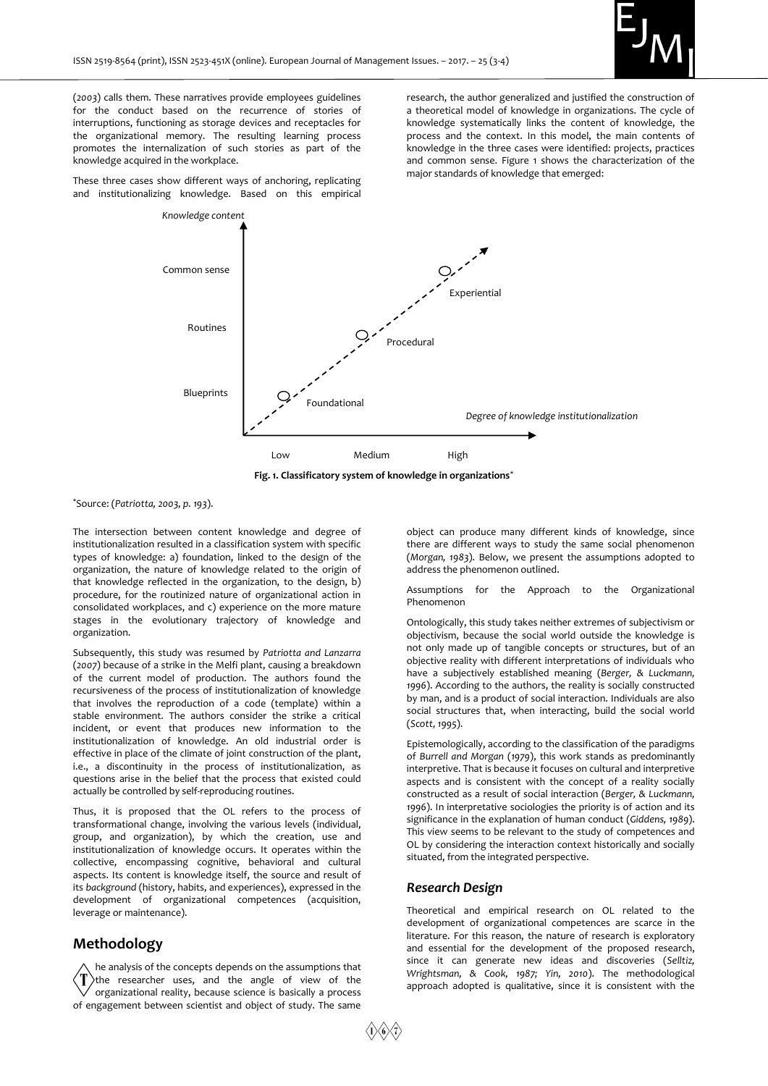

(*2003*) calls them. These narratives provide employees guidelines for the conduct based on the recurrence of stories of interruptions, functioning as storage devices and receptacles for the organizational memory. The resulting learning process promotes the internalization of such stories as part of the knowledge acquired in the workplace.

These three cases show different ways of anchoring, replicating and institutionalizing knowledge. Based on this empirical

*Knowledge content*

research, the author generalized and justified the construction of a theoretical model of knowledge in organizations. The cycle of knowledge systematically links the content of knowledge, the process and the context. In this model, the main contents of knowledge in the three cases were identified: projects, practices and common sense. Figure 1 shows the characterization of the major standards of knowledge that emerged:



**Fig. 1. Classificatory system of knowledge in organizations\***

\*Source: (*Patriotta, 2003, р. 193*).

The intersection between content knowledge and degree of institutionalization resulted in a classification system with specific types of knowledge: a) foundation, linked to the design of the organization, the nature of knowledge related to the origin of that knowledge reflected in the organization, to the design, b) procedure, for the routinized nature of organizational action in consolidated workplaces, and c) experience on the more mature stages in the evolutionary trajectory of knowledge and organization.

Subsequently, this study was resumed by *Patriotta and Lanzarra* (*2007*) because of a strike in the Melfi plant, causing a breakdown of the current model of production. The authors found the recursiveness of the process of institutionalization of knowledge that involves the reproduction of a code (template) within a stable environment. The authors consider the strike a critical incident, or event that produces new information to the institutionalization of knowledge. An old industrial order is effective in place of the climate of joint construction of the plant, i.e., a discontinuity in the process of institutionalization, as questions arise in the belief that the process that existed could actually be controlled by self-reproducing routines.

Thus, it is proposed that the OL refers to the process of transformational change, involving the various levels (individual, group, and organization), by which the creation, use and institutionalization of knowledge occurs. It operates within the collective, encompassing cognitive, behavioral and cultural aspects. Its content is knowledge itself, the source and result of its *background* (history, habits, and experiences), expressed in the development of organizational competences (acquisition, leverage or maintenance).

# **Methodology**

he analysis of the concepts depends on the assumptions that the researcher uses, and the angle of view of the organizational reality, because science is basically a process of engagement between scientist and object of study. The same

object can produce many different kinds of knowledge, since there are different ways to study the same social phenomenon (*Morgan, 1983*). Below, we present the assumptions adopted to address the phenomenon outlined.

Assumptions for the Approach to the Organizational Phenomenon

Ontologically, this study takes neither extremes of subjectivism or objectivism, because the social world outside the knowledge is not only made up of tangible concepts or structures, but of an objective reality with different interpretations of individuals who have a subjectively established meaning (*Berger, & Luckmann, 1996*). According to the authors, the reality is socially constructed by man, and is a product of social interaction. Individuals are also social structures that, when interacting, build the social world (*Scott, 1995*).

Epistemologically, according to the classification of the paradigms of *Burrell and Morgan* (*1979*), this work stands as predominantly interpretive. That is because it focuses on cultural and interpretive aspects and is consistent with the concept of a reality socially constructed as a result of social interaction (*Berger, & Luckmann, 1996*). In interpretative sociologies the priority is of action and its significance in the explanation of human conduct (*Giddens, 1989*). This view seems to be relevant to the study of competences and OL by considering the interaction context historically and socially situated, from the integrated perspective.

#### *Research Design*

Theoretical and empirical research on OL related to the development of organizational competences are scarce in the literature. For this reason, the nature of research is exploratory and essential for the development of the proposed research, since it can generate new ideas and discoveries (*Selltiz, Wrightsman, & Cook, 1987; Yin, 2010*). The methodological approach adopted is qualitative, since it is consistent with the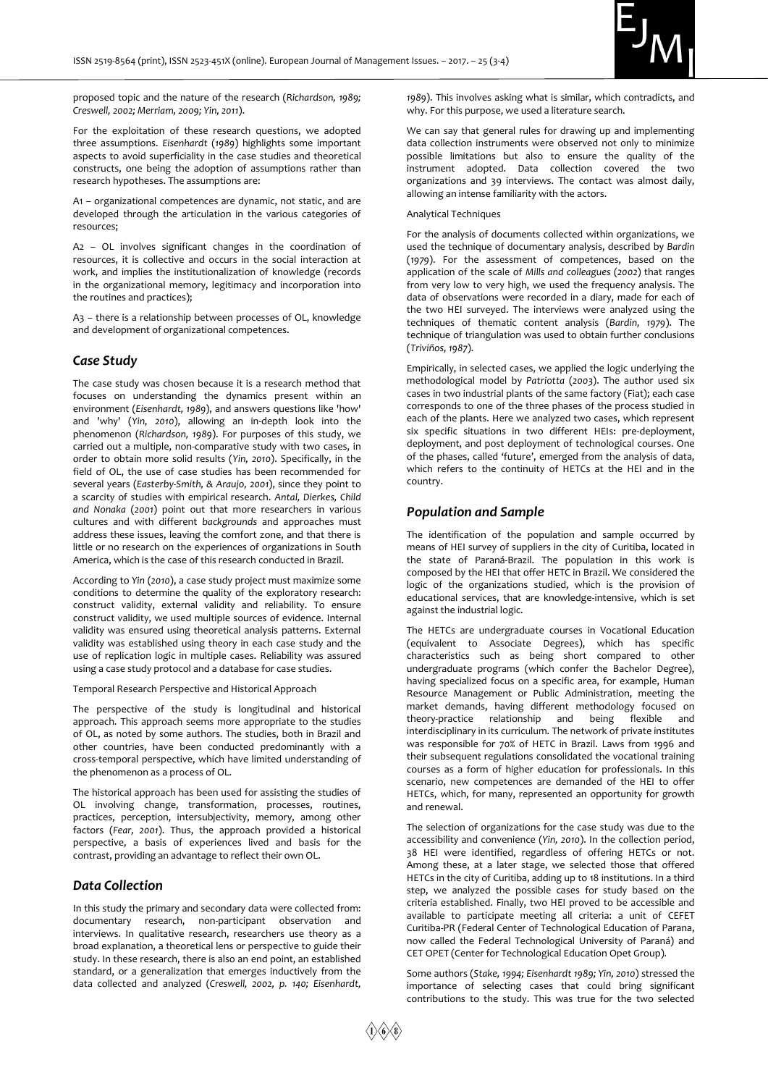

proposed topic and the nature of the research (*Richardson, 1989; Creswell, 2002; Merriam, 2009; Yin, 2011*).

For the exploitation of these research questions, we adopted three assumptions. *Eisenhardt* (*1989*) highlights some important aspects to avoid superficiality in the case studies and theoretical constructs, one being the adoption of assumptions rather than research hypotheses. The assumptions are:

A1 – organizational competences are dynamic, not static, and are developed through the articulation in the various categories of resources;

A2 – OL involves significant changes in the coordination of resources, it is collective and occurs in the social interaction at work, and implies the institutionalization of knowledge (records in the organizational memory, legitimacy and incorporation into the routines and practices);

A3 – there is a relationship between processes of OL, knowledge and development of organizational competences.

# *Case Study*

The case study was chosen because it is a research method that focuses on understanding the dynamics present within an environment (*Eisenhardt, 1989*), and answers questions like 'how' and 'why' (*Yin, 2010*), allowing an in-depth look into the phenomenon (*Richardson, 1989*). For purposes of this study, we carried out a multiple, non-comparative study with two cases, in order to obtain more solid results (*Yin, 2010*). Specifically, in the field of OL, the use of case studies has been recommended for several years (*Easterby-Smith, & Araujo, 2001*), since they point to a scarcity of studies with empirical research. *Antal, Dierkes, Child and Nonaka* (*2001*) point out that more researchers in various cultures and with different *backgrounds* and approaches must address these issues, leaving the comfort zone, and that there is little or no research on the experiences of organizations in South America, which is the case of this research conducted in Brazil.

According to *Yin* (*2010*), a case study project must maximize some conditions to determine the quality of the exploratory research: construct validity, external validity and reliability. To ensure construct validity, we used multiple sources of evidence. Internal validity was ensured using theoretical analysis patterns. External validity was established using theory in each case study and the use of replication logic in multiple cases. Reliability was assured using a case study protocol and a database for case studies.

Temporal Research Perspective and Historical Approach

The perspective of the study is longitudinal and historical approach. This approach seems more appropriate to the studies of OL, as noted by some authors. The studies, both in Brazil and other countries, have been conducted predominantly with a cross-temporal perspective, which have limited understanding of the phenomenon as a process of OL.

The historical approach has been used for assisting the studies of OL involving change, transformation, processes, routines, practices, perception, intersubjectivity, memory, among other factors (*Fear, 2001*). Thus, the approach provided a historical perspective, a basis of experiences lived and basis for the contrast, providing an advantage to reflect their own OL.

#### *Data Collection*

In this study the primary and secondary data were collected from: documentary research, non-participant observation and interviews. In qualitative research, researchers use theory as a broad explanation, a theoretical lens or perspective to guide their study. In these research, there is also an end point, an established standard, or a generalization that emerges inductively from the data collected and analyzed (*Creswell, 2002, p. 140; Eisenhardt,* 

*1989*). This involves asking what is similar, which contradicts, and why. For this purpose, we used a literature search.

We can say that general rules for drawing up and implementing data collection instruments were observed not only to minimize possible limitations but also to ensure the quality of the instrument adopted. Data collection covered the two organizations and 39 interviews. The contact was almost daily, allowing an intense familiarity with the actors.

#### Analytical Techniques

For the analysis of documents collected within organizations, we used the technique of documentary analysis, described by *Bardin*  (*1979*). For the assessment of competences, based on the application of the scale of *Mills and colleagues* (*2002*) that ranges from very low to very high, we used the frequency analysis. The data of observations were recorded in a diary, made for each of the two HEI surveyed. The interviews were analyzed using the techniques of thematic content analysis (*Bardin, 1979*). The technique of triangulation was used to obtain further conclusions (*Triviños, 1987*).

Empirically, in selected cases, we applied the logic underlying the methodological model by *Patriotta* (*2003*). The author used six cases in two industrial plants of the same factory (Fiat); each case corresponds to one of the three phases of the process studied in each of the plants. Here we analyzed two cases, which represent six specific situations in two different HEIs: pre-deployment, deployment, and post deployment of technological courses. One of the phases, called 'future', emerged from the analysis of data, which refers to the continuity of HETCs at the HEI and in the country.

## *Population and Sample*

The identification of the population and sample occurred by means of HEI survey of suppliers in the city of Curitiba, located in the state of Paraná-Brazil. The population in this work is composed by the HEI that offer HETC in Brazil. We considered the logic of the organizations studied, which is the provision of educational services, that are knowledge-intensive, which is set against the industrial logic.

The HETCs are undergraduate courses in Vocational Education (equivalent to Associate Degrees), which has specific characteristics such as being short compared to other undergraduate programs (which confer the Bachelor Degree), having specialized focus on a specific area, for example, Human Resource Management or Public Administration, meeting the market demands, having different methodology focused on theory-practice relationship and being flexible and interdisciplinary in its curriculum. The network of private institutes was responsible for 70% of HETC in Brazil. Laws from 1996 and their subsequent regulations consolidated the vocational training courses as a form of higher education for professionals. In this scenario, new competences are demanded of the HEI to offer HETCs, which, for many, represented an opportunity for growth and renewal.

The selection of organizations for the case study was due to the accessibility and convenience (*Yin, 2010*). In the collection period, 38 HEI were identified, regardless of offering HETCs or not. Among these, at a later stage, we selected those that offered HETCs in the city of Curitiba, adding up to 18 institutions. In a third step, we analyzed the possible cases for study based on the criteria established. Finally, two HEI proved to be accessible and available to participate meeting all criteria: a unit of CEFET Curitiba-PR (Federal Center of Technological Education of Parana, now called the Federal Technological University of Paraná) and CET OPET (Center for Technological Education Opet Group).

Some authors (*Stake, 1994; Eisenhardt 1989; Yin, 2010*) stressed the importance of selecting cases that could bring significant contributions to the study. This was true for the two selected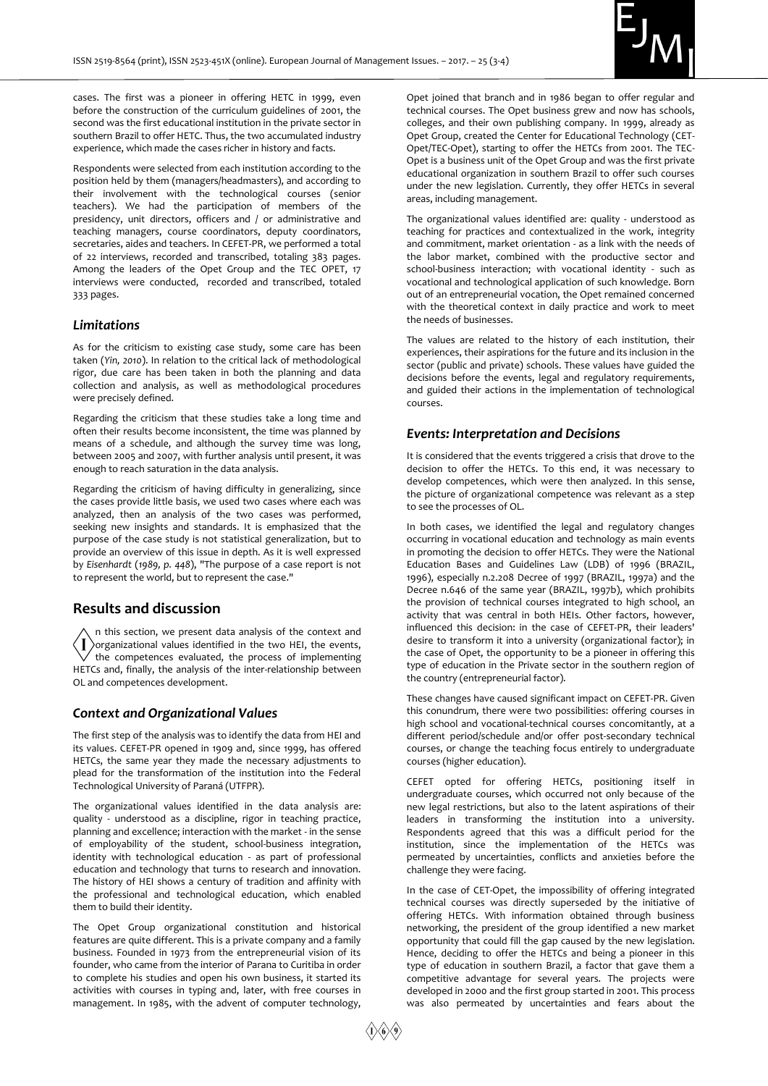

cases. The first was a pioneer in offering HETC in 1999, even before the construction of the curriculum guidelines of 2001, the second was the first educational institution in the private sector in southern Brazil to offer HETC. Thus, the two accumulated industry experience, which made the cases richer in history and facts.

Respondents were selected from each institution according to the position held by them (managers/headmasters), and according to their involvement with the technological courses (senior teachers). We had the participation of members of the presidency, unit directors, officers and / or administrative and teaching managers, course coordinators, deputy coordinators, secretaries, aides and teachers. In CEFET-PR, we performed a total of 22 interviews, recorded and transcribed, totaling 383 pages. Among the leaders of the Opet Group and the TEC OPET, 17 interviews were conducted, recorded and transcribed, totaled 333 pages.

# *Limitations*

As for the criticism to existing case study, some care has been taken (*Yin, 2010*). In relation to the critical lack of methodological rigor, due care has been taken in both the planning and data collection and analysis, as well as methodological procedures were precisely defined.

Regarding the criticism that these studies take a long time and often their results become inconsistent, the time was planned by means of a schedule, and although the survey time was long, between 2005 and 2007, with further analysis until present, it was enough to reach saturation in the data analysis.

Regarding the criticism of having difficulty in generalizing, since the cases provide little basis, we used two cases where each was analyzed, then an analysis of the two cases was performed, seeking new insights and standards. It is emphasized that the purpose of the case study is not statistical generalization, but to provide an overview of this issue in depth. As it is well expressed by *Eisenhardt* (*1989, p. 448*), "The purpose of a case report is not to represent the world, but to represent the case."

# **Results and discussion**

n this section, we present data analysis of the context and  $\big\langle \!\!\! \big\langle \!\!\! \big\langle \!\!\! \big\langle \!\!\! \big\rangle \!\!\! \big\langle$ organizational values identified in the two HEI, the events, the competences evaluated, the process of implementing HETCs and, finally, the analysis of the inter-relationship between OL and competences development.

# *Context and Organizational Values*

The first step of the analysis was to identify the data from HEI and its values. CEFET-PR opened in 1909 and, since 1999, has offered HETCs, the same year they made the necessary adjustments to plead for the transformation of the institution into the Federal Technological University of Paraná (UTFPR).

The organizational values identified in the data analysis are: quality - understood as a discipline, rigor in teaching practice, planning and excellence; interaction with the market - in the sense of employability of the student, school-business integration, identity with technological education - as part of professional education and technology that turns to research and innovation. The history of HEI shows a century of tradition and affinity with the professional and technological education, which enabled them to build their identity.

The Opet Group organizational constitution and historical features are quite different. This is a private company and a family business. Founded in 1973 from the entrepreneurial vision of its founder, who came from the interior of Parana to Curitiba in order to complete his studies and open his own business, it started its activities with courses in typing and, later, with free courses in management. In 1985, with the advent of computer technology,

Opet joined that branch and in 1986 began to offer regular and technical courses. The Opet business grew and now has schools, colleges, and their own publishing company. In 1999, already as Opet Group, created the Center for Educational Technology (CET-Opet/TEC-Opet), starting to offer the HETCs from 2001. The TEC-Opet is a business unit of the Opet Group and was the first private educational organization in southern Brazil to offer such courses under the new legislation. Currently, they offer HETCs in several areas, including management.

The organizational values identified are: quality - understood as teaching for practices and contextualized in the work, integrity and commitment, market orientation - as a link with the needs of the labor market, combined with the productive sector and school-business interaction; with vocational identity - such as vocational and technological application of such knowledge. Born out of an entrepreneurial vocation, the Opet remained concerned with the theoretical context in daily practice and work to meet the needs of businesses.

The values are related to the history of each institution, their experiences, their aspirations for the future and its inclusion in the sector (public and private) schools. These values have guided the decisions before the events, legal and regulatory requirements, and guided their actions in the implementation of technological courses.

#### *Events: Interpretation and Decisions*

It is considered that the events triggered a crisis that drove to the decision to offer the HETCs. To this end, it was necessary to develop competences, which were then analyzed. In this sense, the picture of organizational competence was relevant as a step to see the processes of OL.

In both cases, we identified the legal and regulatory changes occurring in vocational education and technology as main events in promoting the decision to offer HETCs. They were the National Education Bases and Guidelines Law (LDB) of 1996 (BRAZIL, 1996), especially n.2.208 Decree of 1997 (BRAZIL, 1997a) and the Decree n.646 of the same year (BRAZIL, 1997b), which prohibits the provision of technical courses integrated to high school, an activity that was central in both HEIs. Other factors, however, influenced this decision: in the case of CEFET-PR, their leaders' desire to transform it into a university (organizational factor); in the case of Opet, the opportunity to be a pioneer in offering this type of education in the Private sector in the southern region of the country (entrepreneurial factor).

These changes have caused significant impact on CEFET-PR. Given this conundrum, there were two possibilities: offering courses in high school and vocational-technical courses concomitantly, at a different period/schedule and/or offer post-secondary technical courses, or change the teaching focus entirely to undergraduate courses (higher education).

CEFET opted for offering HETCs, positioning itself in undergraduate courses, which occurred not only because of the new legal restrictions, but also to the latent aspirations of their leaders in transforming the institution into a university. Respondents agreed that this was a difficult period for the institution, since the implementation of the HETCs was permeated by uncertainties, conflicts and anxieties before the challenge they were facing.

In the case of CET-Opet, the impossibility of offering integrated technical courses was directly superseded by the initiative of offering HETCs. With information obtained through business networking, the president of the group identified a new market opportunity that could fill the gap caused by the new legislation. Hence, deciding to offer the HETCs and being a pioneer in this type of education in southern Brazil, a factor that gave them a competitive advantage for several years. The projects were developed in 2000 and the first group started in 2001. This process was also permeated by uncertainties and fears about the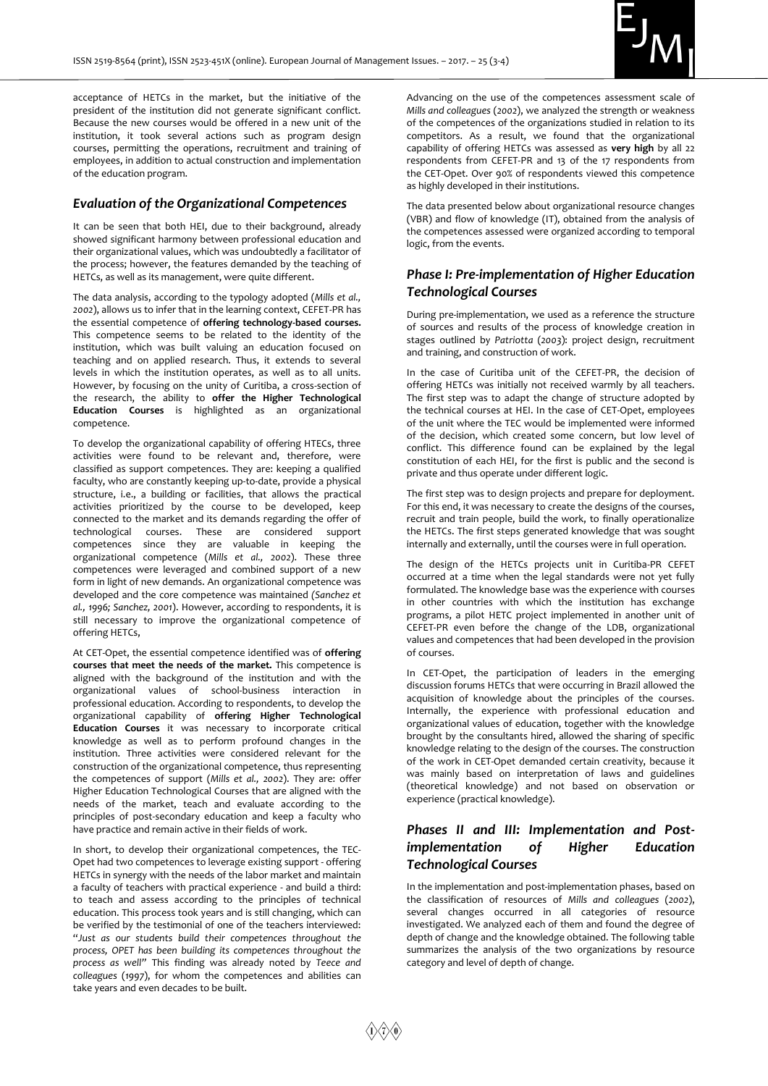

acceptance of HETCs in the market, but the initiative of the president of the institution did not generate significant conflict. Because the new courses would be offered in a new unit of the institution, it took several actions such as program design courses, permitting the operations, recruitment and training of employees, in addition to actual construction and implementation of the education program.

# *Evaluation of the Organizational Competences*

It can be seen that both HEI, due to their background, already showed significant harmony between professional education and their organizational values, which was undoubtedly a facilitator of the process; however, the features demanded by the teaching of HETCs, as well as its management, were quite different.

The data analysis, according to the typology adopted (*Mills et al., 2002*), allows us to infer that in the learning context, CEFET-PR has the essential competence of **offering technology-based courses.**  This competence seems to be related to the identity of the institution, which was built valuing an education focused on teaching and on applied research. Thus, it extends to several levels in which the institution operates, as well as to all units. However, by focusing on the unity of Curitiba, a cross-section of the research, the ability to **offer the Higher Technological Education Courses** is highlighted as an organizational competence.

To develop the organizational capability of offering HTECs, three activities were found to be relevant and, therefore, were classified as support competences. They are: keeping a qualified faculty, who are constantly keeping up-to-date, provide a physical structure, i.e., a building or facilities, that allows the practical activities prioritized by the course to be developed, keep connected to the market and its demands regarding the offer of technological courses. These are considered support competences since they are valuable in keeping the organizational competence (*Mills et al., 2002*). These three competences were leveraged and combined support of a new form in light of new demands. An organizational competence was developed and the core competence was maintained *(Sanchez et al., 1996; Sanchez, 2001*). However, according to respondents, it is still necessary to improve the organizational competence of offering HETCs,

At CET-Opet, the essential competence identified was of **offering courses that meet the needs of the market.** This competence is aligned with the background of the institution and with the organizational values of school-business interaction in professional education. According to respondents, to develop the organizational capability of **offering Higher Technological Education Courses** it was necessary to incorporate critical knowledge as well as to perform profound changes in the institution. Three activities were considered relevant for the construction of the organizational competence, thus representing the competences of support (*Mills et al., 2002*). They are: offer Higher Education Technological Courses that are aligned with the needs of the market, teach and evaluate according to the principles of post-secondary education and keep a faculty who have practice and remain active in their fields of work.

In short, to develop their organizational competences, the TEC-Opet had two competences to leverage existing support - offering HETCs in synergy with the needs of the labor market and maintain a faculty of teachers with practical experience - and build a third: to teach and assess according to the principles of technical education. This process took years and is still changing, which can be verified by the testimonial of one of the teachers interviewed: "*Just as our students build their competences throughout the process, OPET has been building its competences throughout the process as well"* This finding was already noted by *Teece and colleagues* (*1997*), for whom the competences and abilities can take years and even decades to be built.

Advancing on the use of the competences assessment scale of *Mills and colleagues* (*2002*), we analyzed the strength or weakness of the competences of the organizations studied in relation to its competitors. As a result, we found that the organizational capability of offering HETCs was assessed as **very high** by all 22 respondents from CEFET-PR and 13 of the 17 respondents from the CET-Opet. Over 90% of respondents viewed this competence as highly developed in their institutions.

The data presented below about organizational resource changes (VBR) and flow of knowledge (IT), obtained from the analysis of the competences assessed were organized according to temporal logic, from the events.

# *Phase I: Pre-implementation of Higher Education Technological Courses*

During pre-implementation, we used as a reference the structure of sources and results of the process of knowledge creation in stages outlined by *Patriotta* (*2003*): project design, recruitment and training, and construction of work.

In the case of Curitiba unit of the CEFET-PR, the decision of offering HETCs was initially not received warmly by all teachers. The first step was to adapt the change of structure adopted by the technical courses at HEI. In the case of CET-Opet, employees of the unit where the TEC would be implemented were informed of the decision, which created some concern, but low level of conflict. This difference found can be explained by the legal constitution of each HEI, for the first is public and the second is private and thus operate under different logic.

The first step was to design projects and prepare for deployment. For this end, it was necessary to create the designs of the courses, recruit and train people, build the work, to finally operationalize the HETCs. The first steps generated knowledge that was sought internally and externally, until the courses were in full operation.

The design of the HETCs projects unit in Curitiba-PR CEFET occurred at a time when the legal standards were not yet fully formulated. The knowledge base was the experience with courses in other countries with which the institution has exchange programs, a pilot HETC project implemented in another unit of CEFET-PR even before the change of the LDB, organizational values and competences that had been developed in the provision of courses.

In CET-Opet, the participation of leaders in the emerging discussion forums HETCs that were occurring in Brazil allowed the acquisition of knowledge about the principles of the courses. Internally, the experience with professional education and organizational values of education, together with the knowledge brought by the consultants hired, allowed the sharing of specific knowledge relating to the design of the courses. The construction of the work in CET-Opet demanded certain creativity, because it was mainly based on interpretation of laws and guidelines (theoretical knowledge) and not based on observation or experience (practical knowledge).

# *Phases II and III: Implementation and Postimplementation of Higher Education Technological Courses*

In the implementation and post-implementation phases, based on the classification of resources of *Mills and colleagues* (*2002*), several changes occurred in all categories of resource investigated. We analyzed each of them and found the degree of depth of change and the knowledge obtained. The following table summarizes the analysis of the two organizations by resource category and level of depth of change.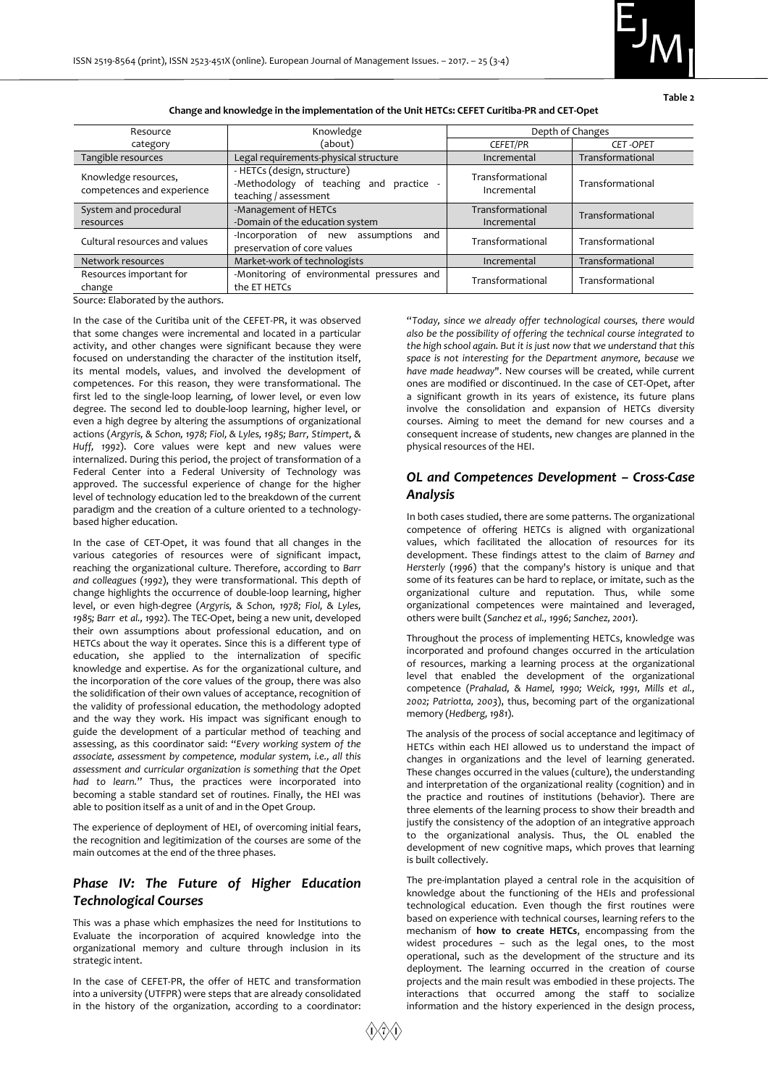**Table 2**

|  | Change and knowledge in the implementation of the Unit HETCs: CEFET Curitiba-PR and CET-Opet |  |
|--|----------------------------------------------------------------------------------------------|--|
|  |                                                                                              |  |

| Resource                                           | Knowledge                                                                                     | Depth of Changes                |                  |  |
|----------------------------------------------------|-----------------------------------------------------------------------------------------------|---------------------------------|------------------|--|
| category                                           | (about)                                                                                       | <b>CEFET/PR</b>                 | <b>CET-OPET</b>  |  |
| Tangible resources                                 | Legal requirements-physical structure                                                         | Incremental                     | Transformational |  |
| Knowledge resources,<br>competences and experience | - HETCs (design, structure)<br>-Methodology of teaching and practice<br>teaching / assessment | Transformational<br>Incremental | Transformational |  |
| System and procedural<br>resources                 | -Management of HETCs<br>-Domain of the education system                                       | Transformational<br>Incremental | Transformational |  |
| Cultural resources and values                      | -Incorporation of new<br>assumptions<br>and<br>preservation of core values                    | Transformational                | Transformational |  |
| Network resources                                  | Market-work of technologists                                                                  | Incremental                     | Transformational |  |
| Resources important for<br>change                  | -Monitoring of environmental pressures and<br>the ET HETCs                                    | Transformational                | Transformational |  |

Source: Elaborated by the authors.

In the case of the Curitiba unit of the CEFET-PR, it was observed that some changes were incremental and located in a particular activity, and other changes were significant because they were focused on understanding the character of the institution itself, its mental models, values, and involved the development of competences. For this reason, they were transformational. The first led to the single-loop learning, of lower level, or even low degree. The second led to double-loop learning, higher level, or even a high degree by altering the assumptions of organizational actions (*Argyris, & Schon, 1978; Fiol, & Lyles, 1985; Barr, Stimpert, & Huff, 1992*). Core values were kept and new values were internalized. During this period, the project of transformation of a Federal Center into a Federal University of Technology was approved. The successful experience of change for the higher level of technology education led to the breakdown of the current paradigm and the creation of a culture oriented to a technologybased higher education.

In the case of CET-Opet, it was found that all changes in the various categories of resources were of significant impact, reaching the organizational culture. Therefore, according to *Barr and colleagues* (*1992*), they were transformational. This depth of change highlights the occurrence of double-loop learning, higher level, or even high-degree (*Argyris, & Schon, 1978; Fiol, & Lyles, 1985; Barr et al., 1992*). The TEC-Opet, being a new unit, developed their own assumptions about professional education, and on HETCs about the way it operates. Since this is a different type of education, she applied to the internalization of specific knowledge and expertise. As for the organizational culture, and the incorporation of the core values of the group, there was also the solidification of their own values of acceptance, recognition of the validity of professional education, the methodology adopted and the way they work. His impact was significant enough to guide the development of a particular method of teaching and assessing, as this coordinator said: "*Every working system of the associate, assessment by competence, modular system, i.e., all this assessment and curricular organization is something that the Opet had to learn.*" Thus, the practices were incorporated into becoming a stable standard set of routines. Finally, the HEI was able to position itself as a unit of and in the Opet Group.

The experience of deployment of HEI, of overcoming initial fears, the recognition and legitimization of the courses are some of the main outcomes at the end of the three phases.

# *Phase IV: The Future of Higher Education Technological Courses*

This was a phase which emphasizes the need for Institutions to Evaluate the incorporation of acquired knowledge into the organizational memory and culture through inclusion in its strategic intent.

In the case of CEFET-PR, the offer of HETC and transformation into a university (UTFPR) were steps that are already consolidated in the history of the organization, according to a coordinator:

"*Today, since we already offer technological courses, there would also be the possibility of offering the technical course integrated to the high school again. But it is just now that we understand that this space is not interesting for the Department anymore, because we have made headway*". New courses will be created, while current ones are modified or discontinued. In the case of CET-Opet, after a significant growth in its years of existence, its future plans involve the consolidation and expansion of HETCs diversity courses. Aiming to meet the demand for new courses and a consequent increase of students, new changes are planned in the physical resources of the HEI.

# *OL and Competences Development – Cross-Case Analysis*

In both cases studied, there are some patterns. The organizational competence of offering HETCs is aligned with organizational values, which facilitated the allocation of resources for its development. These findings attest to the claim of *Barney and Hersterly* (*1996*) that the company's history is unique and that some of its features can be hard to replace, or imitate, such as the organizational culture and reputation. Thus, while some organizational competences were maintained and leveraged, others were built (*Sanchez et al., 1996; Sanchez, 2001*).

Throughout the process of implementing HETCs, knowledge was incorporated and profound changes occurred in the articulation of resources, marking a learning process at the organizational level that enabled the development of the organizational competence (*Prahalad, & Hamel, 1990; Weick, 1991, Mills et al., 2002; Patriotta, 2003*), thus, becoming part of the organizational memory (*Hedberg, 1981*).

The analysis of the process of social acceptance and legitimacy of HETCs within each HEI allowed us to understand the impact of changes in organizations and the level of learning generated. These changes occurred in the values (culture), the understanding and interpretation of the organizational reality (cognition) and in the practice and routines of institutions (behavior). There are three elements of the learning process to show their breadth and justify the consistency of the adoption of an integrative approach to the organizational analysis. Thus, the OL enabled the development of new cognitive maps, which proves that learning is built collectively.

The pre-implantation played a central role in the acquisition of knowledge about the functioning of the HEIs and professional technological education. Even though the first routines were based on experience with technical courses, learning refers to the mechanism of **how to create HETCs**, encompassing from the widest procedures – such as the legal ones, to the most operational, such as the development of the structure and its deployment. The learning occurred in the creation of course projects and the main result was embodied in these projects. The interactions that occurred among the staff to socialize information and the history experienced in the design process,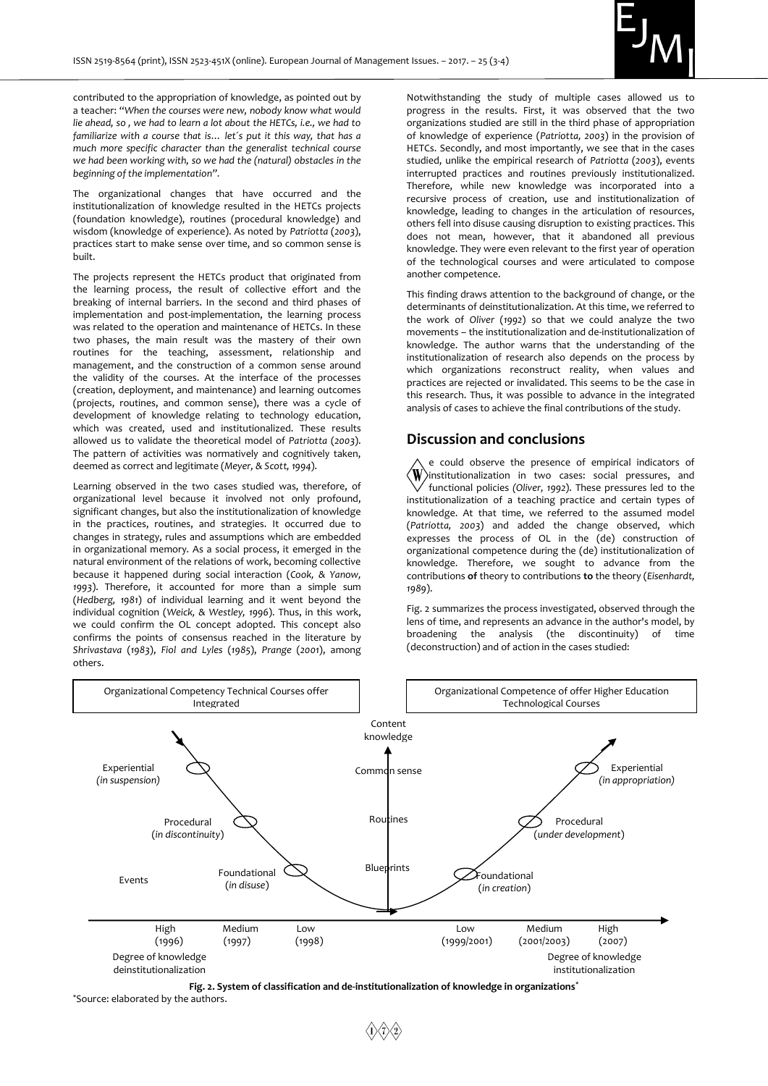

contributed to the appropriation of knowledge, as pointed out by a teacher: "*When the courses were new, nobody know what would lie ahead, so , we had to learn a lot about the HETCs, i.e., we had to familiarize with a course that is… let´s put it this way, that has a much more specific character than the generalist technical course we had been working with, so we had the (natural) obstacles in the beginning of the implementation".*

The organizational changes that have occurred and the institutionalization of knowledge resulted in the HETCs projects (foundation knowledge), routines (procedural knowledge) and wisdom (knowledge of experience). As noted by *Patriotta* (*2003*), practices start to make sense over time, and so common sense is built.

The projects represent the HETCs product that originated from the learning process, the result of collective effort and the breaking of internal barriers. In the second and third phases of implementation and post-implementation, the learning process was related to the operation and maintenance of HETCs. In these two phases, the main result was the mastery of their own routines for the teaching, assessment, relationship and management, and the construction of a common sense around the validity of the courses. At the interface of the processes (creation, deployment, and maintenance) and learning outcomes (projects, routines, and common sense), there was a cycle of development of knowledge relating to technology education, which was created, used and institutionalized. These results allowed us to validate the theoretical model of *Patriotta* (*2003*). The pattern of activities was normatively and cognitively taken, deemed as correct and legitimate (*Meyer, & Scott, 1994*).

Learning observed in the two cases studied was, therefore, of organizational level because it involved not only profound, significant changes, but also the institutionalization of knowledge in the practices, routines, and strategies. It occurred due to changes in strategy, rules and assumptions which are embedded in organizational memory. As a social process, it emerged in the natural environment of the relations of work, becoming collective because it happened during social interaction (*Cook, & Yanow, 1993*). Therefore, it accounted for more than a simple sum (*Hedberg, 1981*) of individual learning and it went beyond the individual cognition (*Weick, & Westley, 1996*). Thus, in this work, we could confirm the OL concept adopted. This concept also confirms the points of consensus reached in the literature by *Shrivastava* (*1983*), *Fiol and Lyles* (*1985*), *Prange* (*2001*), among others.

Notwithstanding the study of multiple cases allowed us to progress in the results. First, it was observed that the two organizations studied are still in the third phase of appropriation of knowledge of experience (*Patriotta, 2003*) in the provision of HETCs. Secondly, and most importantly, we see that in the cases studied, unlike the empirical research of *Patriotta* (*2003*), events interrupted practices and routines previously institutionalized. Therefore, while new knowledge was incorporated into a recursive process of creation, use and institutionalization of knowledge, leading to changes in the articulation of resources, others fell into disuse causing disruption to existing practices. This does not mean, however, that it abandoned all previous knowledge. They were even relevant to the first year of operation of the technological courses and were articulated to compose another competence.

This finding draws attention to the background of change, or the determinants of deinstitutionalization. At this time, we referred to the work of *Oliver* (*1992*) so that we could analyze the two movements – the institutionalization and de-institutionalization of knowledge. The author warns that the understanding of the institutionalization of research also depends on the process by which organizations reconstruct reality, when values and practices are rejected or invalidated. This seems to be the case in this research. Thus, it was possible to advance in the integrated analysis of cases to achieve the final contributions of the study.

# **Discussion and conclusions**

e could observe the presence of empirical indicators of  $\langle \textbf{W} \rangle$ institutionalization in two cases: social pressures, and functional policies *(Oliver, 1992*). These pressures led to the institutionalization of a teaching practice and certain types of knowledge. At that time, we referred to the assumed model (*Patriotta, 2003*) and added the change observed, which expresses the process of OL in the (de) construction of organizational competence during the (de) institutionalization of knowledge. Therefore, we sought to advance from the contributions **of** theory to contributions **to** the theory (*Eisenhardt, 1989*).

Fig. 2 summarizes the process investigated, observed through the lens of time, and represents an advance in the author's model, by<br>broadening the analysis (the discontinuity) of time broadening the analysis (the discontinuity) of (deconstruction) and of action in the cases studied:



**Fig. 2. System of classification and de-institutionalization of knowledge in organizations\***

\*Source: elaborated by the authors.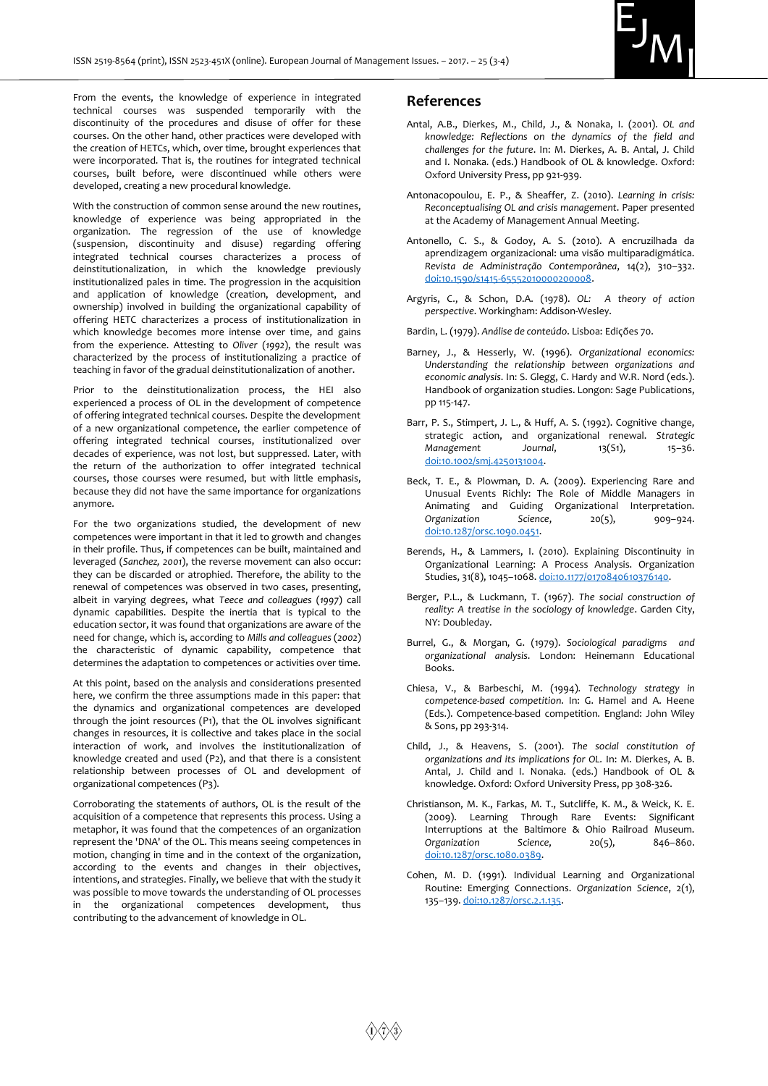

From the events, the knowledge of experience in integrated technical courses was suspended temporarily with the discontinuity of the procedures and disuse of offer for these courses. On the other hand, other practices were developed with the creation of HETCs, which, over time, brought experiences that were incorporated. That is, the routines for integrated technical courses, built before, were discontinued while others were developed, creating a new procedural knowledge.

With the construction of common sense around the new routines, knowledge of experience was being appropriated in the organization. The regression of the use of knowledge (suspension, discontinuity and disuse) regarding offering integrated technical courses characterizes a process of deinstitutionalization, in which the knowledge previously institutionalized pales in time. The progression in the acquisition and application of knowledge (creation, development, and ownership) involved in building the organizational capability of offering HETC characterizes a process of institutionalization in which knowledge becomes more intense over time, and gains from the experience. Attesting to *Oliver* (*1992*), the result was characterized by the process of institutionalizing a practice of teaching in favor of the gradual deinstitutionalization of another.

Prior to the deinstitutionalization process, the HEI also experienced a process of OL in the development of competence of offering integrated technical courses. Despite the development of a new organizational competence, the earlier competence of offering integrated technical courses, institutionalized over decades of experience, was not lost, but suppressed. Later, with the return of the authorization to offer integrated technical courses, those courses were resumed, but with little emphasis, because they did not have the same importance for organizations anymore.

For the two organizations studied, the development of new competences were important in that it led to growth and changes in their profile. Thus, if competences can be built, maintained and leveraged (*Sanchez, 2001*), the reverse movement can also occur: they can be discarded or atrophied. Therefore, the ability to the renewal of competences was observed in two cases, presenting, albeit in varying degrees, what *Teece and colleagues* (*1997*) call dynamic capabilities. Despite the inertia that is typical to the education sector, it was found that organizations are aware of the need for change, which is, according to *Mills and colleagues* (*2002*) the characteristic of dynamic capability, competence that determines the adaptation to competences or activities over time.

At this point, based on the analysis and considerations presented here, we confirm the three assumptions made in this paper: that the dynamics and organizational competences are developed through the joint resources (P1), that the OL involves significant changes in resources, it is collective and takes place in the social interaction of work, and involves the institutionalization of knowledge created and used (P2), and that there is a consistent relationship between processes of OL and development of organizational competences (P3).

Corroborating the statements of authors, OL is the result of the acquisition of a competence that represents this process. Using a metaphor, it was found that the competences of an organization represent the 'DNA' of the OL. This means seeing competences in motion, changing in time and in the context of the organization, according to the events and changes in their objectives, intentions, and strategies. Finally, we believe that with the study it was possible to move towards the understanding of OL processes in the organizational competences development, thus contributing to the advancement of knowledge in OL.

#### **References**

- Antal, A.B., Dierkes, M., Child, J., & Nonaka, I. (2001). *OL and knowledge: Reflections on the dynamics of the field and challenges for the future*. In: M. Dierkes, A. B. Antal, J. Child and I. Nonaka*.* (eds.) Handbook of OL & knowledge. Oxford: Oxford University Press, pp 921-939.
- Antonacopoulou, E. P., & Sheaffer, Z. (2010). *Learning in crisis: Reconceptualising OL and crisis management*. Paper presented at the Academy of Management Annual Meeting.
- Antonello, C. S., & Godoy, A. S. (2010). A encruzilhada da aprendizagem organizacional: uma visão multiparadigmática. *Revista de Administração Contemporânea*, 14(2), 310–332. [doi:10.1590/s1415-65552010000200008.](https://doi.org/10.1590/s1415-65552010000200008)
- Argyris, C., & Schon, D.A. (1978). *OL: A theory of action perspective*. Workingham: Addison-Wesley.
- Bardin, L. (1979). *Análise de conteúdo*. Lisboa: Edições 70.
- Barney, J., & Hesserly, W. (1996). *Organizational economics: Understanding the relationship between organizations and economic analysis*. In: S. Glegg, C. Hardy and W.R. Nord (eds.). Handbook of organization studies. Longon: Sage Publications, pp 115-147.
- Barr, P. S., Stimpert, J. L., & Huff, A. S. (1992). Cognitive change, strategic action, and organizational renewal. *Strategic Management Journal*, 13(S1), 15-36. [doi:10.1002/smj.4250131004.](https://doi.org/10.1002/smj.4250131004)
- Beck, T. E., & Plowman, D. A. (2009). Experiencing Rare and Unusual Events Richly: The Role of Middle Managers in Animating and Guiding Organizational Interpretation.<br>Organization Science, 20(5), 909-924. *Organization Science*, 20(5), 909–924. [doi:10.1287/orsc.1090.0451.](https://doi.org/10.1287/orsc.1090.0479)
- Berends, H., & Lammers, I. (2010). Explaining Discontinuity in Organizational Learning: A Process Analysis. Organization Studies, 31(8), 1045-1068[. doi:10.1177/0170840610376140.](https://doi.org/10.1177/0170840610376140)
- Berger, P.L., & Luckmann, T. (1967). *The social construction of reality: A treatise in the sociology of knowledge*. Garden City, NY: Doubleday.
- Burrel, G., & Morgan, G. (1979). *Sociological paradigms and organizational analysis*. London: Heinemann Educational Books.
- Chiesa, V., & Barbeschi, M. (1994). *Technology strategy in competence-based competition*. In: G. Hamel and A. Heene (Eds.). Competence-based competition*.* England: John Wiley & Sons, pp 293-314.
- Child, J., & Heavens, S. (2001). *The social constitution of organizations and its implications for OL.* In: M. Dierkes, A. B. Antal, J. Child and I. Nonaka*.* (eds.) Handbook of OL & knowledge. Oxford: Oxford University Press, pp 308-326.
- Christianson, M. K., Farkas, M. T., Sutcliffe, K. M., & Weick, K. E. (2009). Learning Through Rare Events: Significant Interruptions at the Baltimore & Ohio Railroad Museum. *Organization Science*, 20(5), 846–860. [doi:10.1287/orsc.1080.0389.](https://doi.org/10.1287/orsc.1080.0389)
- Cohen, M. D. (1991). Individual Learning and Organizational Routine: Emerging Connections. *Organization Science*, 2(1), 135–139[. doi:10.1287/orsc.2.1.135.](https://doi.org/10.1287/orsc.2.1.135)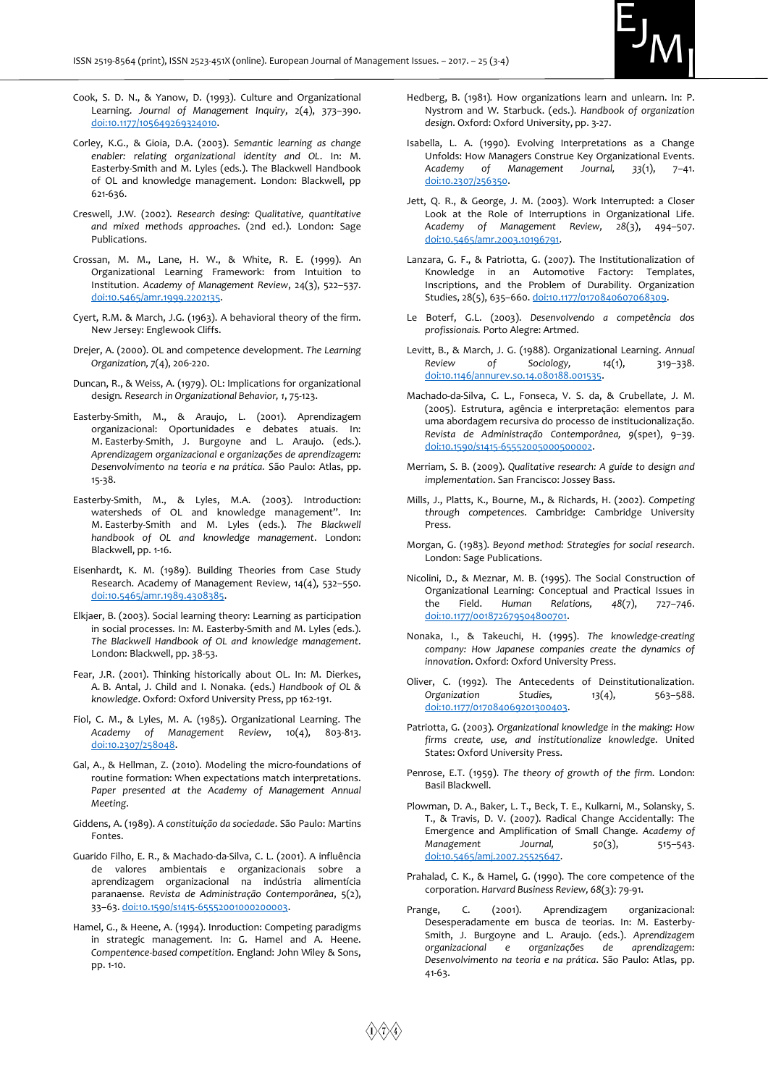

- Cook, S. D. N., & Yanow, D. (1993). Culture and Organizational Learning. *Journal of Management Inquiry*, 2(4), 373–390. [doi:10.1177/105649269324010.](https://doi.org/10.1177/105649269324010)
- Corley, K.G., & Gioia, D.A. (2003). *Semantic learning as change enabler: relating organizational identity and OL*. In: M. Easterby-Smith and M. Lyles (eds.). The Blackwell Handbook of OL and knowledge management. London: Blackwell, pp 621-636.
- Creswell, J.W. (2002). *Research desing: Qualitative, quantitative and mixed methods approaches*. (2nd ed.). London: Sage Publications.
- Crossan, M. M., Lane, H. W., & White, R. E. (1999). An Organizational Learning Framework: from Intuition to Institution. *Academy of Management Review*, 24(3), 522–537. [doi:10.5465/amr.1999.2202135.](https://doi.org/10.5465/amr.1999.2202135)
- Cyert, R.M. & March, J.G. (1963). A behavioral theory of the firm. New Jersey: Englewook Cliffs.
- Drejer, A. (2000). OL and competence development. *The Learning Organization, 7*(4), 206-220.
- Duncan, R., & Weiss, A. (1979). OL: Implications for organizational design*. Research in Organizational Behavior, 1*, 75-123.
- Easterby-Smith, M., & Araujo, L. (2001). Aprendizagem organizacional: Oportunidades e debates atuais. In: M. Easterby-Smith, J. Burgoyne and L. Araujo. (eds.). *Aprendizagem organizacional e organizações de aprendizagem: Desenvolvimento na teoria e na prática.* São Paulo: Atlas, pp. 15-38.
- Easterby-Smith, M., & Lyles, M.A. (2003). Introduction: watersheds of OL and knowledge management". In: M. Easterby-Smith and M. Lyles (eds.). *The Blackwell handbook of OL and knowledge management*. London: Blackwell, pp. 1-16.
- Eisenhardt, K. M. (1989). Building Theories from Case Study Research. Academy of Management Review, 14(4), 532–550. [doi:10.5465/amr.1989.4308385.](https://doi.org/10.5465/amr.1989.4308385)
- Elkjaer, B. (2003). Social learning theory: Learning as participation in social processes*.* In: M. Easterby-Smith and M. Lyles (eds.). *The Blackwell Handbook of OL and knowledge management*. London: Blackwell, pp. 38-53.
- Fear, J.R. (2001). Thinking historically about OL. In: M. Dierkes, A. B. Antal, J. Child and I. Nonaka*.* (eds.) *Handbook of OL & knowledge*. Oxford: Oxford University Press, pp 162-191.
- Fiol, C. M., & Lyles, M. A. (1985). Organizational Learning. The *Academy of Management Review*, 10(4), 803-813. [doi:10.2307/258048.](https://doi.org/10.2307/258048)
- Gal, A., & Hellman, Z. (2010). Modeling the micro-foundations of routine formation: When expectations match interpretations. Paper presented at the Academy of Management Annual *Meeting*.
- Giddens, A. (1989). *A constituição da sociedade*. São Paulo: Martins Fontes.
- Guarido Filho, E. R., & Machado-da-Silva, C. L. (2001). A influência de valores ambientais e organizacionais sobre a aprendizagem organizacional na indústria alimentícia paranaense. *Revista de Administração Contemporânea*, 5(2), 33–63[. doi:10.1590/s1415-65552001000200003.](https://doi.org/10.1590/s1415-65552001000200003)
- Hamel, G., & Heene, A. (1994). Inroduction: Competing paradigms in strategic management*.* In: G. Hamel and A. Heene. *Compentence-based competition*. England: John Wiley & Sons, pp. 1-10.
- Hedberg, B. (1981)*.* How organizations learn and unlearn. In: P. Nystrom and W. Starbuck. (eds.). *Handbook of organization design*. Oxford: Oxford University, pp. 3-27.
- Isabella, L. A. (1990). Evolving Interpretations as a Change Unfolds: How Managers Construe Key Organizational Events. *Academy of Management Journal, 33*(1), 7–41. [doi:10.2307/256350.](https://doi.org/10.2307/256350)
- Jett, Q. R., & George, J. M. (2003). Work Interrupted: a Closer Look at the Role of Interruptions in Organizational Life. *Academy of Management Review, 28*(3), 494–507. [doi:10.5465/amr.2003.10196791.](https://doi.org/10.5465/amr.2003.10196791)
- Lanzara, G. F., & Patriotta, G. (2007). The Institutionalization of Knowledge in an Automotive Factory: Templates, Inscriptions, and the Problem of Durability. Organization Studies, 28(5), 635-660[. doi:10.1177/0170840607068309.](https://doi.org/10.1177/0170840607068309)
- Le Boterf, G.L. (2003). *Desenvolvendo a competência dos profissionais.* Porto Alegre: Artmed.
- Levitt, B., & March, J. G. (1988). Organizational Learning. *Annual Review of Sociology, 14*(1), 319–338. [doi:10.1146/annurev.so.14.080188.001535.](https://doi.org/10.1146/annurev.so.14.080188.001535)
- Machado-da-Silva, C. L., Fonseca, V. S. da, & Crubellate, J. M. (2005). Estrutura, agência e interpretação: elementos para uma abordagem recursiva do processo de institucionalização. *Revista de Administração Contemporânea, 9*(spe1), 9–39. [doi:10.1590/s1415-65552005000500002.](https://doi.org/10.1590/s1415-65552005000500002)
- Merriam, S. B. (2009). *Qualitative research: A guide to design and implementation*. San Francisco: Jossey Bass.
- Mills, J., Platts, K., Bourne, M., & Richards, H. (2002). *Competing through competences*. Cambridge: Cambridge University Press.
- Morgan, G. (1983). *Beyond method: Strategies for social research*. London: Sage Publications.
- Nicolini, D., & Meznar, M. B. (1995). The Social Construction of Organizational Learning: Conceptual and Practical Issues in the Field. *Human Relations, 48*(7), 727–746. [doi:10.1177/001872679504800701.](https://doi.org/10.1177/001872679504800701)
- Nonaka, I., & Takeuchi, H. (1995). *The knowledge-creating company: How Japanese companies create the dynamics of innovation*. Oxford: Oxford University Press.
- Oliver, C. (1992). The Antecedents of Deinstitutionalization. *Organization Studies, 13*(4), 563–588. [doi:10.1177/017084069201300403.](https://doi.org/10.1177/017084069201300403)
- Patriotta, G. (2003). *Organizational knowledge in the making: How firms create, use, and institutionalize knowledge*. United States: Oxford University Press.
- Penrose, E.T. (1959). *The theory of growth of the firm*. London: Basil Blackwell.
- Plowman, D. A., Baker, L. T., Beck, T. E., Kulkarni, M., Solansky, S. T., & Travis, D. V. (2007). Radical Change Accidentally: The Emergence and Amplification of Small Change. *Academy of Management Journal, 50*(3), 515–543. [doi:10.5465/amj.2007.25525647.](https://doi.org/10.5465/amj.2007.25525647)
- Prahalad, C. K., & Hamel, G. (1990). The core competence of the corporation. *Harvard Business Review, 68*(3): 79-91.
- Prange, C. (2001). Aprendizagem organizacional: Desesperadamente em busca de teorias. In: M. Easterby-Smith, J. Burgoyne and L. Araujo. (eds.). *Aprendizagem organizacional e organizações de aprendizagem: Desenvolvimento na teoria e na prática*. São Paulo: Atlas, pp. 41-63.